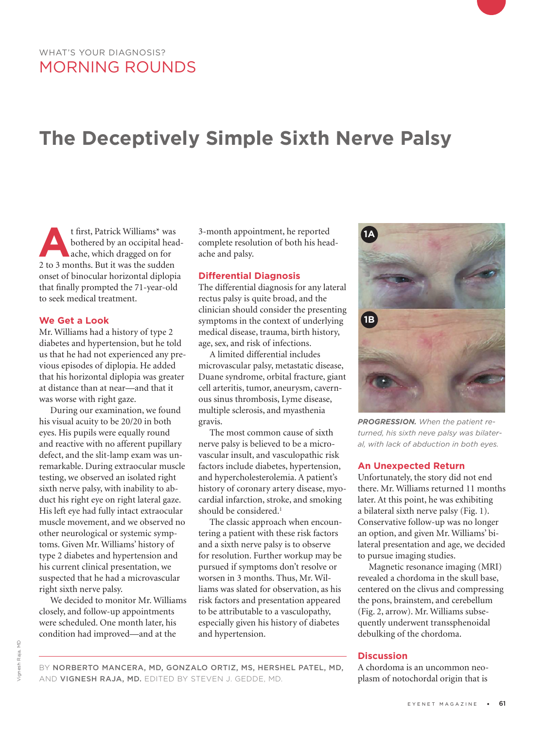# **The Deceptively Simple Sixth Nerve Palsy**

**A**t first, Patrick Williams\* was<br>bothered by an occipital head<br>ache, which dragged on for<br>2 to 3 months. But it was the sudden bothered by an occipital headache, which dragged on for 2 to 3 months. But it was the sudden onset of binocular horizontal diplopia that finally prompted the 71-year-old to seek medical treatment.

#### **We Get a Look**

Mr. Williams had a history of type 2 diabetes and hypertension, but he told us that he had not experienced any previous episodes of diplopia. He added that his horizontal diplopia was greater at distance than at near—and that it was worse with right gaze.

During our examination, we found his visual acuity to be 20/20 in both eyes. His pupils were equally round and reactive with no afferent pupillary defect, and the slit-lamp exam was unremarkable. During extraocular muscle testing, we observed an isolated right sixth nerve palsy, with inability to abduct his right eye on right lateral gaze. His left eye had fully intact extraocular muscle movement, and we observed no other neurological or systemic symptoms. Given Mr. Williams' history of type 2 diabetes and hypertension and his current clinical presentation, we suspected that he had a microvascular right sixth nerve palsy.

We decided to monitor Mr. Williams closely, and follow-up appointments were scheduled. One month later, his condition had improved—and at the

3-month appointment, he reported complete resolution of both his headache and palsy.

### **Differential Diagnosis**

The differential diagnosis for any lateral rectus palsy is quite broad, and the clinician should consider the presenting symptoms in the context of underlying medical disease, trauma, birth history, age, sex, and risk of infections.

A limited differential includes microvascular palsy, metastatic disease, Duane syndrome, orbital fracture, giant cell arteritis, tumor, aneurysm, cavernous sinus thrombosis, Lyme disease, multiple sclerosis, and myasthenia gravis.

The most common cause of sixth nerve palsy is believed to be a microvascular insult, and vasculopathic risk factors include diabetes, hypertension, and hypercholesterolemia. A patient's history of coronary artery disease, myocardial infarction, stroke, and smoking should be considered.<sup>1</sup>

The classic approach when encountering a patient with these risk factors and a sixth nerve palsy is to observe for resolution. Further workup may be pursued if symptoms don't resolve or worsen in 3 months. Thus, Mr. Williams was slated for observation, as his risk factors and presentation appeared to be attributable to a vasculopathy, especially given his history of diabetes and hypertension.



*PROGRESSION. When the patient returned, his sixth neve palsy was bilateral, with lack of abduction in both eyes.*

#### **An Unexpected Return**

Unfortunately, the story did not end there. Mr. Williams returned 11 months later. At this point, he was exhibiting a bilateral sixth nerve palsy (Fig. 1). Conservative follow-up was no longer an option, and given Mr. Williams' bilateral presentation and age, we decided to pursue imaging studies.

Magnetic resonance imaging (MRI) revealed a chordoma in the skull base, centered on the clivus and compressing the pons, brainstem, and cerebellum (Fig. 2, arrow). Mr. Williams subsequently underwent transsphenoidal debulking of the chordoma.

## **Discussion**

A chordoma is an uncommon neoplasm of notochordal origin that is